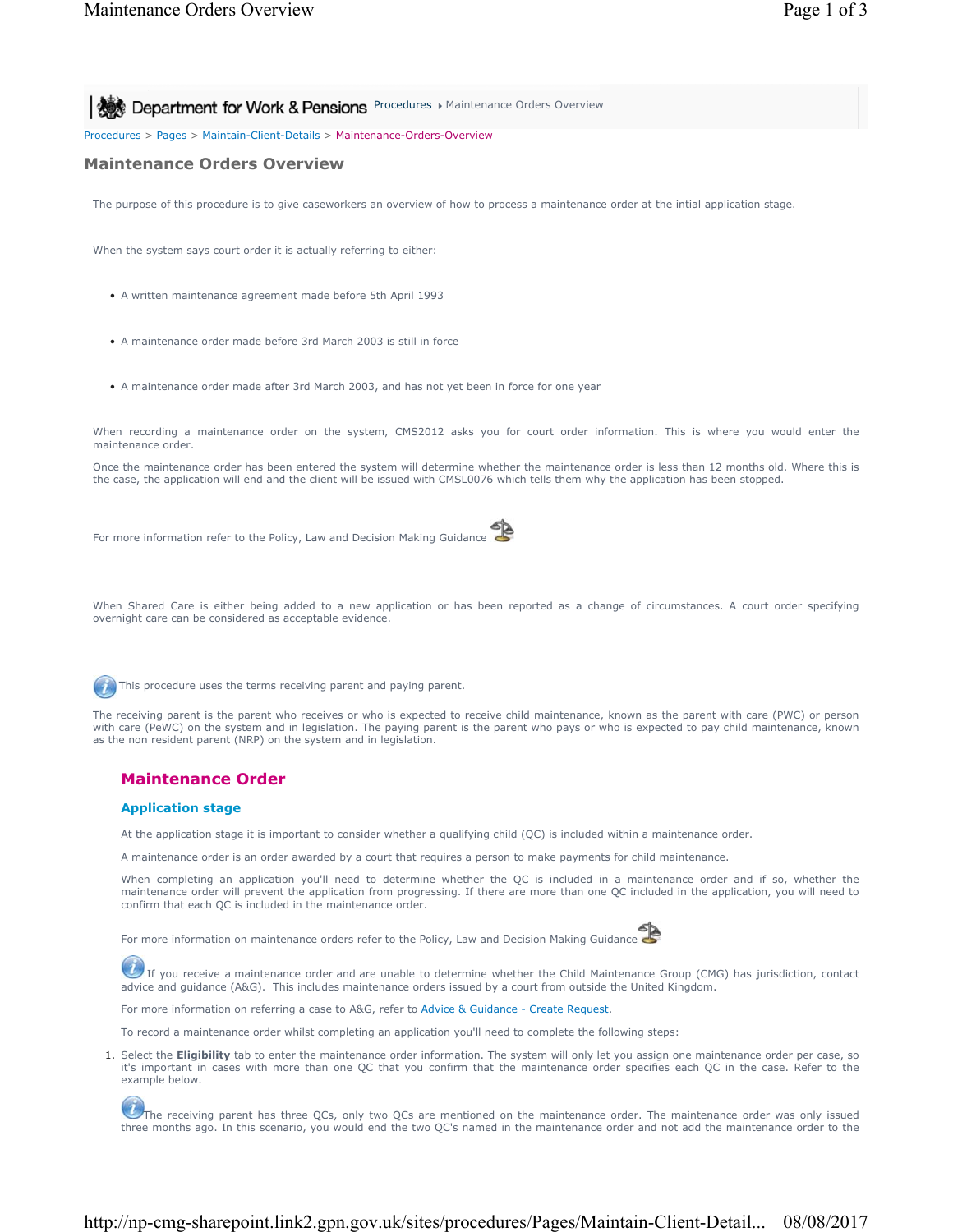**Procedures Maintenance Orders Overview** 8 **Department for Work & Pensions** Procedures Maintenance Orders Overview

Procedures > Pages > Maintain-Client-Details > Maintenance-Orders-Overview

# **Maintenance Orders Overview**

The purpose of this procedure is to give caseworkers an overview of how to process a maintenance order at the intial application stage.

When the system says court order it is actually referring to either:

- A written maintenance agreement made before 5th April 1993
- A maintenance order made before 3rd March 2003 is still in force
- A maintenance order made after 3rd March 2003, and has not yet been in force for one year

When recording a maintenance order on the system, CMS2012 asks you for court order information. This is where you would enter the maintenance order.

Once the maintenance order has been entered the system will determine whether the maintenance order is less than 12 months old. Where this is the case, the application will end and the client will be issued with CMSL0076 which tells them why the application has been stopped.

For more information refer to the Policy, Law and Decision Making Guidance

When Shared Care is either being added to a new application or has been reported as a change of circumstances. A court order specifying overnight care can be considered as acceptable evidence.

This procedure uses the terms receiving parent and paying parent.

The receiving parent is the parent who receives or who is expected to receive child maintenance, known as the parent with care (PWC) or person with care (PeWC) on the system and in legislation. The paying parent is the parent who pays or who is expected to pay child maintenance, known as the non resident parent (NRP) on the system and in legislation.

### **Maintenance Order**

### **Application stage**

At the application stage it is important to consider whether a qualifying child (QC) is included within a maintenance order.

A maintenance order is an order awarded by a court that requires a person to make payments for child maintenance.

When completing an application you'll need to determine whether the QC is included in a maintenance order and if so, whether the maintenance order will prevent the application from progressing. If there are more than one QC included in the application, you will need to confirm that each QC is included in the maintenance order.

For more information on maintenance orders refer to the Policy, Law and Decision Making Guidance



 $U$  If you receive a maintenance order and are unable to determine whether the Child Maintenance Group (CMG) has jurisdiction, contact advice and guidance (A&G). This includes maintenance orders issued by a court from outside the United Kingdom.

For more information on referring a case to A&G, refer to Advice & Guidance - Create Request.

To record a maintenance order whilst completing an application you'll need to complete the following steps:

1. Select the Eligibility tab to enter the maintenance order information. The system will only let you assign one maintenance order per case, so it's important in cases with more than one QC that you confirm that the maintenance order specifies each QC in the case. Refer to the example below.

The receiving parent has three QCs, only two QCs are mentioned on the maintenance order. The maintenance order was only issued three months ago. In this scenario, you would end the two QC's named in the maintenance order and not add the maintenance order to the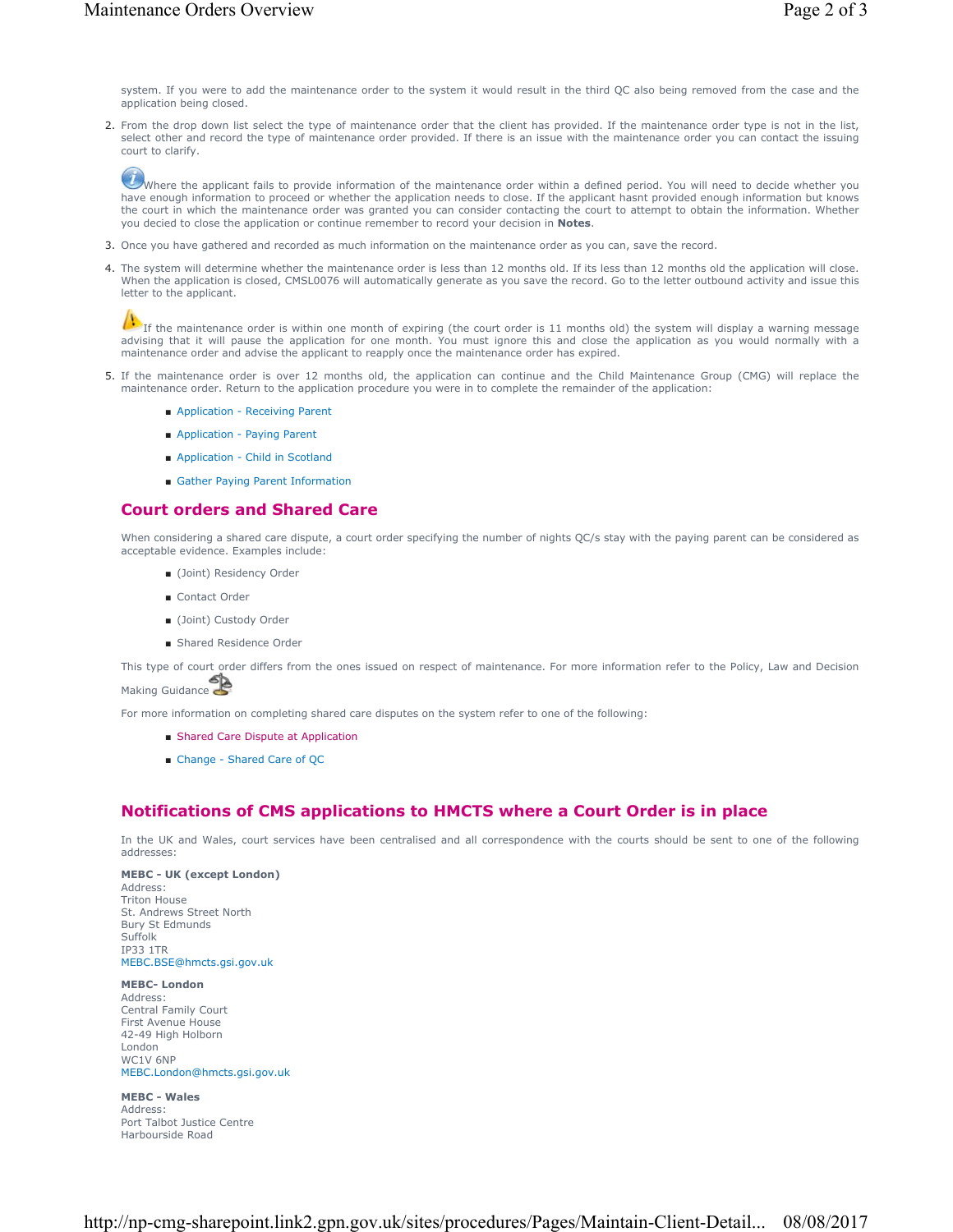system. If you were to add the maintenance order to the system it would result in the third QC also being removed from the case and the application being closed.

2. From the drop down list select the type of maintenance order that the client has provided. If the maintenance order type is not in the list, select other and record the type of maintenance order provided. If there is an issue with the maintenance order you can contact the issuing court to clarify.

Where the applicant fails to provide information of the maintenance order within a defined period. You will need to decide whether you have enough information to proceed or whether the application needs to close. If the applicant hasnt provided enough information but knows the court in which the maintenance order was granted you can consider contacting the court to attempt to obtain the information. Whether you decied to close the application or continue remember to record your decision in **Notes**.

- 3. Once you have gathered and recorded as much information on the maintenance order as you can, save the record.
- 4. The system will determine whether the maintenance order is less than 12 months old. If its less than 12 months old the application will close. When the application is closed, CMSL0076 will automatically generate as you save the record. Go to the letter outbound activity and issue this letter to the applicant.

If the maintenance order is within one month of expiring (the court order is 11 months old) the system will display a warning message advising that it will pause the application for one month. You must ignore this and close the application as you would normally with a maintenance order and advise the applicant to reapply once the maintenance order has expired.

- If the maintenance order is over 12 months old, the application can continue and the Child Maintenance Group (CMG) will replace the 5. maintenance order. Return to the application procedure you were in to complete the remainder of the application:
	- Application Receiving Parent
	- Application Paying Parent
	- Application Child in Scotland
	- Gather Paying Parent Information

### **Court orders and Shared Care**

When considering a shared care dispute, a court order specifying the number of nights QC/s stay with the paying parent can be considered as acceptable evidence. Examples include:

- (Joint) Residency Order
- Contact Order
- (Joint) Custody Order
- Shared Residence Order

This type of court order differs from the ones issued on respect of maintenance. For more information refer to the Policy, Law and Decision

Making Guidance

For more information on completing shared care disputes on the system refer to one of the following:

- Shared Care Dispute at Application
- Change Shared Care of QC

## **Notifications of CMS applications to HMCTS where a Court Order is in place**

In the UK and Wales, court services have been centralised and all correspondence with the courts should be sent to one of the following addresses:

**MEBC - UK (except London)** Address: Triton House St. Andrews Street North Bury St Edmunds Suffolk IP33 1TR MEBC.BSE@hmcts.gsi.gov.uk

**MEBC- London** Address: Central Family Court First Avenue House 42-49 High Holborn London WC1V 6NP MEBC.London@hmcts.gsi.gov.uk

**MEBC - Wales** Address: Port Talbot Justice Centre Harbourside Road